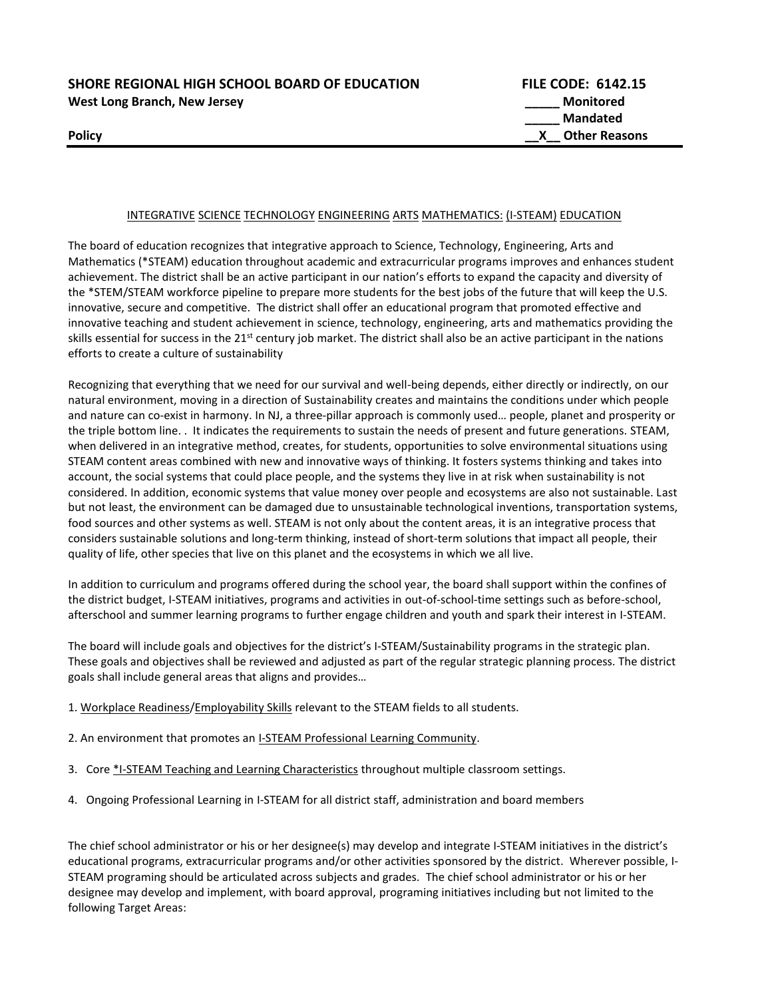**SHORE REGIONAL HIGH SCHOOL BOARD OF EDUCATION FILE CODE: 6142.15 West Long Branch, New Jersey \_\_\_\_\_ Monitored \_\_\_\_\_ Mandated Policy CONSERVING CONSERVATION CONSERVATION CONSERVATION CONSERVATION CONSERVATION CONSERVATION CONSERVATION CONSERVATION CONSERVATION CONSERVATION CONSERVATION CONSERVATION CONSERVATION CONSERVATION CONSERVATION CONSER** 

#### INTEGRATIVE SCIENCE TECHNOLOGY ENGINEERING ARTS MATHEMATICS: (I-STEAM) EDUCATION

The board of education recognizes that integrative approach to Science, Technology, Engineering, Arts and Mathematics (\*STEAM) education throughout academic and extracurricular programs improves and enhances student achievement. The district shall be an active participant in our nation's efforts to expand the capacity and diversity of the \*STEM/STEAM workforce pipeline to prepare more students for the best jobs of the future that will keep the U.S. innovative, secure and competitive. The district shall offer an educational program that promoted effective and innovative teaching and student achievement in science, technology, engineering, arts and mathematics providing the skills essential for success in the  $21^{st}$  century job market. The district shall also be an active participant in the nations efforts to create a culture of sustainability

Recognizing that everything that we need for our survival and well-being depends, either directly or indirectly, on our natural environment, moving in a direction of Sustainability creates and maintains the conditions under which people and nature can co-exist in harmony. In NJ, a three-pillar approach is commonly used… people, planet and prosperity or the triple bottom line. . It indicates the requirements to sustain the needs of present and future generations. STEAM, when delivered in an integrative method, creates, for students, opportunities to solve environmental situations using STEAM content areas combined with new and innovative ways of thinking. It fosters systems thinking and takes into account, the social systems that could place people, and the systems they live in at risk when sustainability is not considered. In addition, economic systems that value money over people and ecosystems are also not sustainable. Last but not least, the environment can be damaged due to unsustainable technological inventions, transportation systems, food sources and other systems as well. STEAM is not only about the content areas, it is an integrative process that considers sustainable solutions and long-term thinking, instead of short-term solutions that impact all people, their quality of life, other species that live on this planet and the ecosystems in which we all live.

In addition to curriculum and programs offered during the school year, the board shall support within the confines of the district budget, I-STEAM initiatives, programs and activities in out-of-school-time settings such as before-school, afterschool and summer learning programs to further engage children and youth and spark their interest in I-STEAM.

The board will include goals and objectives for the district's I-STEAM/Sustainability programs in the strategic plan. These goals and objectives shall be reviewed and adjusted as part of the regular strategic planning process. The district goals shall include general areas that aligns and provides…

- 1. Workplace Readiness/Employability Skills relevant to the STEAM fields to all students.
- 2. An environment that promotes an I-STEAM Professional Learning Community.
- 3. Core \*I-STEAM Teaching and Learning Characteristics throughout multiple classroom settings.
- 4. Ongoing Professional Learning in I-STEAM for all district staff, administration and board members

The chief school administrator or his or her designee(s) may develop and integrate I-STEAM initiatives in the district's educational programs, extracurricular programs and/or other activities sponsored by the district. Wherever possible, I-STEAM programing should be articulated across subjects and grades. The chief school administrator or his or her designee may develop and implement, with board approval, programing initiatives including but not limited to the following Target Areas: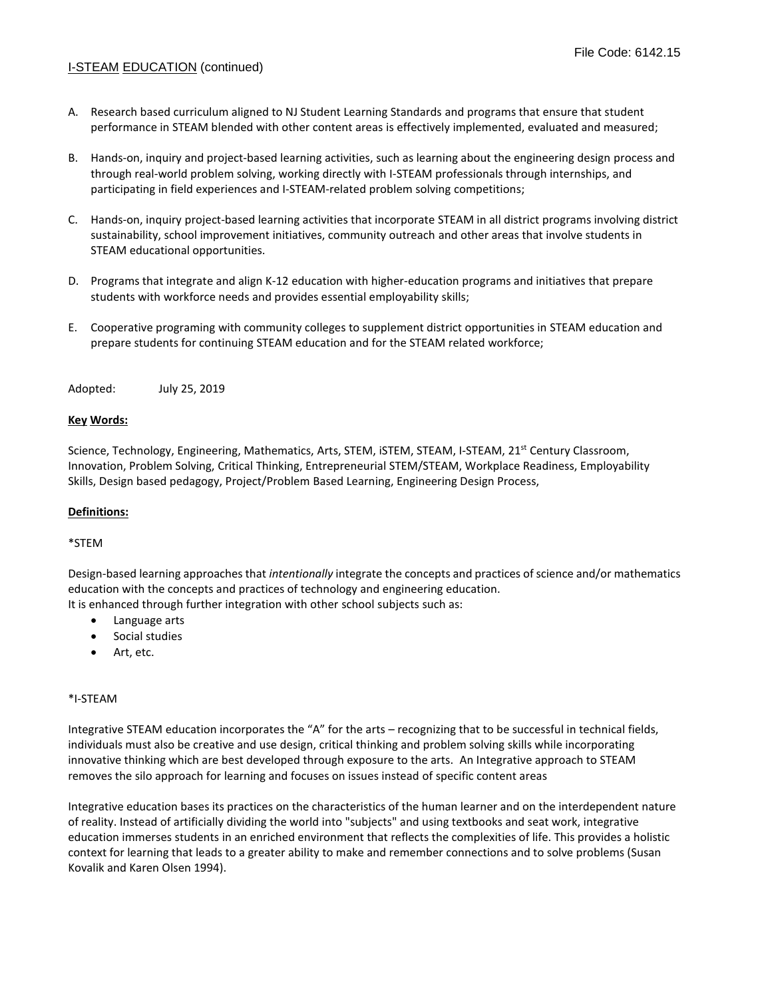## I-STEAM EDUCATION (continued)

- A. Research based curriculum aligned to NJ Student Learning Standards and programs that ensure that student performance in STEAM blended with other content areas is effectively implemented, evaluated and measured;
- B. Hands-on, inquiry and project-based learning activities, such as learning about the engineering design process and through real-world problem solving, working directly with I-STEAM professionals through internships, and participating in field experiences and I-STEAM-related problem solving competitions;
- C. Hands-on, inquiry project-based learning activities that incorporate STEAM in all district programs involving district sustainability, school improvement initiatives, community outreach and other areas that involve students in STEAM educational opportunities.
- D. Programs that integrate and align K-12 education with higher-education programs and initiatives that prepare students with workforce needs and provides essential employability skills;
- E. Cooperative programing with community colleges to supplement district opportunities in STEAM education and prepare students for continuing STEAM education and for the STEAM related workforce;

Adopted: July 25, 2019

#### **Key Words:**

Science, Technology, Engineering, Mathematics, Arts, STEM, ISTEM, STEAM, I-STEAM, 21<sup>st</sup> Century Classroom, Innovation, Problem Solving, Critical Thinking, Entrepreneurial STEM/STEAM, Workplace Readiness, Employability Skills, Design based pedagogy, Project/Problem Based Learning, Engineering Design Process,

### **Definitions:**

### \*STEM

Design-based learning approaches that *intentionally* integrate the concepts and practices of science and/or mathematics education with the concepts and practices of technology and engineering education.

It is enhanced through further integration with other school subjects such as:

- Language arts
- Social studies
- Art, etc.

#### \*I-STEAM

Integrative STEAM education incorporates the "A" for the arts – recognizing that to be successful in technical fields, individuals must also be creative and use design, critical thinking and problem solving skills while incorporating innovative thinking which are best developed through exposure to the arts. An Integrative approach to STEAM removes the silo approach for learning and focuses on issues instead of specific content areas

Integrative education bases its practices on the characteristics of the human learner and on the interdependent nature of reality. Instead of artificially dividing the world into "subjects" and using textbooks and seat work, integrative education immerses students in an enriched environment that reflects the complexities of life. This provides a holistic context for learning that leads to a greater ability to make and remember connections and to solve problems (Susan Kovalik and Karen Olsen 1994).